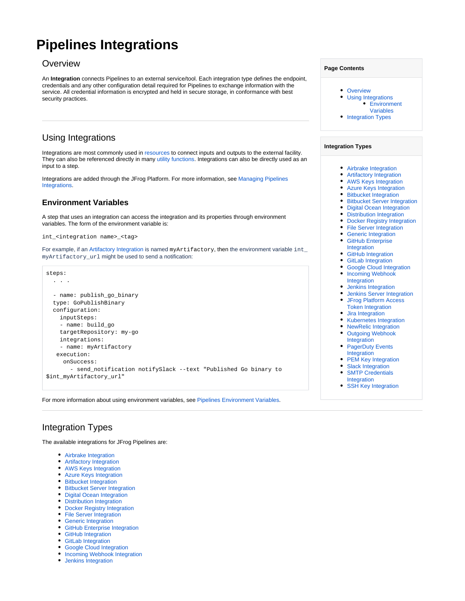# <span id="page-0-0"></span>**Pipelines Integrations**

## **Overview**

An **Integration** connects Pipelines to an external service/tool. Each integration type defines the endpoint, credentials and any other configuration detail required for Pipelines to exchange information with the service. All credential information is encrypted and held in secure storage, in conformance with best security practices.

## <span id="page-0-1"></span>Using Integrations

Integrations are most commonly used in [resources](https://www.jfrog.com/confluence/display/JFROG/Pipelines+Resources) to connect inputs and outputs to the external facility. They can also be referenced directly in many [utility functions](https://www.jfrog.com/confluence/display/JFROG/Pipelines+Utility+Functions). Integrations can also be directly used as an input to a step.

Integrations are added through the JFrog Platform. For more information, see [Managing Pipelines](https://www.jfrog.com/confluence/display/JFROG/Managing+Pipelines+Integrations)  [Integrations.](https://www.jfrog.com/confluence/display/JFROG/Managing+Pipelines+Integrations)

## <span id="page-0-2"></span>**Environment Variables**

A step that uses an integration can access the integration and its properties through environment variables. The form of the environment variable is:

int\_<integration name>\_<tag>

For example, if an [Artifactory Integration](https://www.jfrog.com/confluence/display/JFROG/Artifactory+Integration) is named myArtifactory, then the environment variable int\_ myArtifactory\_url might be used to send a notification:



For more information about using environment variables, see [Pipelines Environment Variables.](https://www.jfrog.com/confluence/display/JFROG/Pipelines+Environment+Variables)

#### **Page Contents**

- [Overview](#page-0-0)
- [Using Integrations](#page-0-1)
	- [Environment](#page-0-2)
- [Variables](#page-0-2) • [Integration Types](#page-0-3)
- 

#### **Integration Types**

- [Airbrake Integration](https://www.jfrog.com/confluence/display/JFROG/Airbrake+Integration)  $\bullet$
- [Artifactory Integration](https://www.jfrog.com/confluence/display/JFROG/Artifactory+Integration)
- [AWS Keys Integration](https://www.jfrog.com/confluence/display/JFROG/AWS+Keys+Integration)
- [Azure Keys Integration](https://www.jfrog.com/confluence/display/JFROG/Azure+Keys+Integration)
- **[Bitbucket Integration](https://www.jfrog.com/confluence/display/JFROG/Bitbucket+Integration)**
- [Bitbucket Server Integration](https://www.jfrog.com/confluence/display/JFROG/Bitbucket+Server+Integration)
- [Digital Ocean Integration](https://www.jfrog.com/confluence/display/JFROG/Digital+Ocean+Integration) • [Distribution Integration](https://www.jfrog.com/confluence/display/JFROG/Distribution+Integration)
- [Docker Registry Integration](https://www.jfrog.com/confluence/display/JFROG/Docker+Registry+Integration)
- [File Server Integration](https://www.jfrog.com/confluence/display/JFROG/File+Server+Integration)
- **[Generic Integration](https://www.jfrog.com/confluence/display/JFROG/Generic+Integration)**
- $\bullet$ [GitHub Enterprise](https://www.jfrog.com/confluence/display/JFROG/GitHub+Enterprise+Integration)
- [Integration](https://www.jfrog.com/confluence/display/JFROG/GitHub+Enterprise+Integration)
- [GitHub Integration](https://www.jfrog.com/confluence/display/JFROG/GitHub+Integration) **[GitLab Integration](https://www.jfrog.com/confluence/display/JFROG/GitLab+Integration)**
- [Google Cloud Integration](https://www.jfrog.com/confluence/display/JFROG/Google+Cloud+Integration)
- Incoming Webhook
- [Integration](https://www.jfrog.com/confluence/display/JFROG/Incoming+Webhook+Integration) [Jenkins Integration](https://www.jfrog.com/confluence/display/JFROG/Jenkins+Integration)
- [Jenkins Server Integration](https://www.jfrog.com/confluence/display/JFROG/Jenkins+Server+Integration)
- $\bullet$ [JFrog Platform Access](https://www.jfrog.com/confluence/display/JFROG/JFrog+Platform+Access+Token+Integration)
- [Token Integration](https://www.jfrog.com/confluence/display/JFROG/JFrog+Platform+Access+Token+Integration)
- [Jira Integration](https://www.jfrog.com/confluence/display/JFROG/Jira+Integration)
- [Kubernetes Integration](https://www.jfrog.com/confluence/display/JFROG/Kubernetes+Integration)
- [NewRelic Integration](https://www.jfrog.com/confluence/display/JFROG/NewRelic+Integration)
- Outgoing Webhook [Integration](https://www.jfrog.com/confluence/display/JFROG/Outgoing+Webhook+Integration)
- PagerDuty Events [Integration](https://www.jfrog.com/confluence/display/JFROG/PagerDuty+Events+Integration)
- [PEM Key Integration](https://www.jfrog.com/confluence/display/JFROG/PEM+Key+Integration)
- [Slack Integration](https://www.jfrog.com/confluence/display/JFROG/Slack+Integration)
- $\bullet$ [SMTP Credentials](https://www.jfrog.com/confluence/display/JFROG/SMTP+Credentials+Integration)
- [Integration](https://www.jfrog.com/confluence/display/JFROG/SMTP+Credentials+Integration)
- [SSH Key Integration](https://www.jfrog.com/confluence/display/JFROG/SSH+Key+Integration)

# <span id="page-0-3"></span>Integration Types

The available integrations for JFrog Pipelines are:

- [Airbrake Integration](https://www.jfrog.com/confluence/display/JFROG/Airbrake+Integration)
- [Artifactory Integration](https://www.jfrog.com/confluence/display/JFROG/Artifactory+Integration)
- [AWS Keys Integration](https://www.jfrog.com/confluence/display/JFROG/AWS+Keys+Integration)
- [Azure Keys Integration](https://www.jfrog.com/confluence/display/JFROG/Azure+Keys+Integration)
- **•** [Bitbucket Integration](https://www.jfrog.com/confluence/display/JFROG/Bitbucket+Integration)
- [Bitbucket Server Integration](https://www.jfrog.com/confluence/display/JFROG/Bitbucket+Server+Integration)
- [Digital Ocean Integration](https://www.jfrog.com/confluence/display/JFROG/Digital+Ocean+Integration)
- [Distribution Integration](https://www.jfrog.com/confluence/display/JFROG/Distribution+Integration)
- **[Docker Registry Integration](https://www.jfrog.com/confluence/display/JFROG/Docker+Registry+Integration)**
- [File Server Integration](https://www.jfrog.com/confluence/display/JFROG/File+Server+Integration)
- [Generic Integration](https://www.jfrog.com/confluence/display/JFROG/Generic+Integration)
- **[GitHub Enterprise Integration](https://www.jfrog.com/confluence/display/JFROG/GitHub+Enterprise+Integration)**
- [GitHub Integration](https://www.jfrog.com/confluence/display/JFROG/GitHub+Integration)
- [GitLab Integration](https://www.jfrog.com/confluence/display/JFROG/GitLab+Integration)
- [Google Cloud Integration](https://www.jfrog.com/confluence/display/JFROG/Google+Cloud+Integration)
- [Incoming Webhook Integration](https://www.jfrog.com/confluence/display/JFROG/Incoming+Webhook+Integration)
- [Jenkins Integration](https://www.jfrog.com/confluence/display/JFROG/Jenkins+Integration)